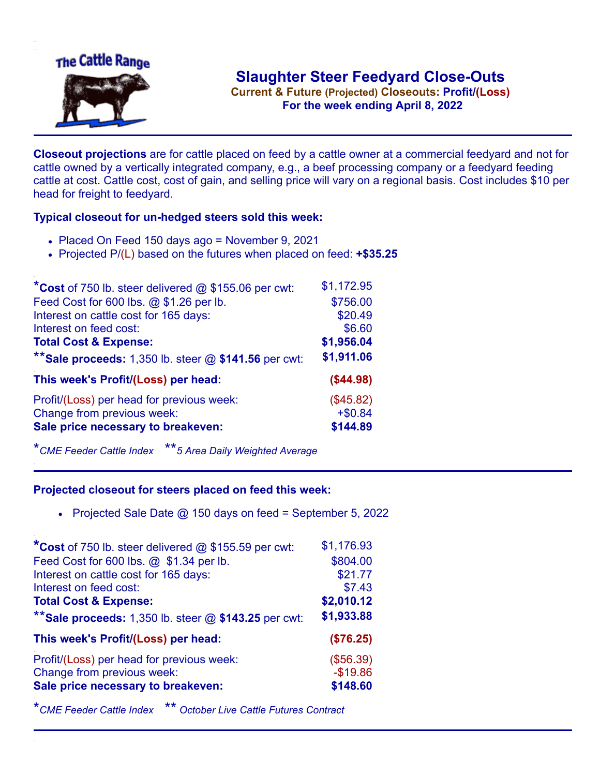

**Current & Future (Projected) Closeouts: Profit/(Loss)** .**For the week ending April 8, 2022**

**Closeout projections** are for cattle placed on feed by a cattle owner at a commercial feedyard and not for cattle owned by a vertically integrated company, e.g., a beef processing company or a feedyard feeding cattle at cost. Cattle cost, cost of gain, and selling price will vary on a regional basis. Cost includes \$10 per head for freight to feedyard.

## **Typical closeout for un-hedged steers sold this week:**

- Placed On Feed 150 days ago = November 9, 2021
- Projected P/(L) based on the futures when placed on feed: **+\$35.25**

| *Cost of 750 lb. steer delivered $@$ \$155.06 per cwt:  | \$1,172.95 |
|---------------------------------------------------------|------------|
| Feed Cost for 600 lbs. @ \$1.26 per lb.                 | \$756.00   |
| Interest on cattle cost for 165 days:                   | \$20.49    |
| Interest on feed cost:                                  | \$6.60     |
| <b>Total Cost &amp; Expense:</b>                        | \$1,956.04 |
| ** Sale proceeds: 1,350 lb. steer $@$ \$141.56 per cwt: | \$1,911.06 |
| This week's Profit/(Loss) per head:                     | (\$44.98)  |
| Profit/(Loss) per head for previous week:               | (\$45.82)  |
| Change from previous week:                              | $+ $0.84$  |
| Sale price necessary to breakeven:                      | \$144.89   |

\**CME Feeder Cattle Index* \*\**5 Area Daily Weighted Average*

## **Projected closeout for steers placed on feed this week:**

• Projected Sale Date  $@$  150 days on feed = September 5, 2022

| *Cost of 750 lb. steer delivered $@$ \$155.59 per cwt:  | \$1,176.93 |
|---------------------------------------------------------|------------|
| Feed Cost for 600 lbs. @ \$1.34 per lb.                 | \$804.00   |
| Interest on cattle cost for 165 days:                   | \$21.77    |
| Interest on feed cost:                                  | \$7.43     |
| <b>Total Cost &amp; Expense:</b>                        | \$2,010.12 |
| ** Sale proceeds: 1,350 lb. steer $@$ \$143.25 per cwt: | \$1,933.88 |
| This week's Profit/(Loss) per head:                     | (\$76.25)  |
| Profit/(Loss) per head for previous week:               | (\$56.39)  |
| Change from previous week:                              | $-$19.86$  |
| Sale price necessary to breakeven:                      | \$148.60   |

\**CME Feeder Cattle Index* \*\* *October Live Cattle Futures Contract*